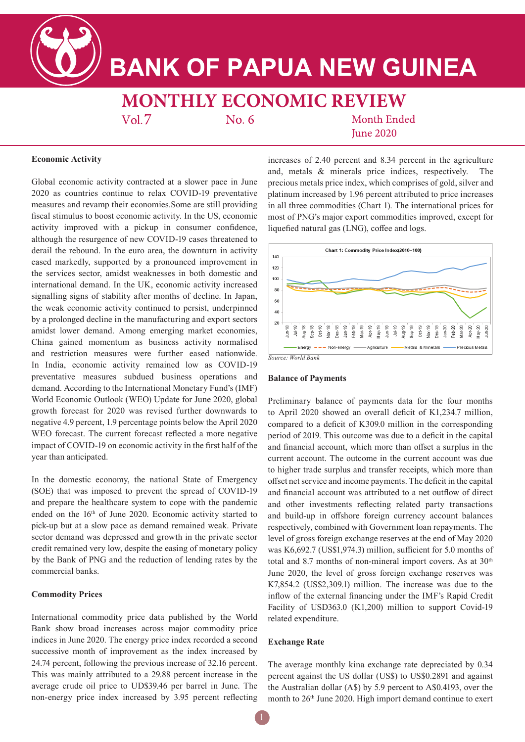**BANK OF PAPUA NEW GUINEA** 

# **MONTHLY ECONOMIC REVIEW**

 $Vol.7$ 

No. 6

**Month Ended Iune 2020** 

## **Economic Activity**

Global economic activity contracted at a slower pace in June 2020 as countries continue to relax COVID-19 preventative measures and revamp their economies.Some are still providing fiscal stimulus to boost economic activity. In the US, economic activity improved with a pickup in consumer confidence, although the resurgence of new COVID-19 cases threatened to derail the rebound. In the euro area, the downturn in activity eased markedly, supported by a pronounced improvement in the services sector, amidst weaknesses in both domestic and international demand. In the UK, economic activity increased signalling signs of stability after months of decline. In Japan, the weak economic activity continued to persist, underpinned by a prolonged decline in the manufacturing and export sectors amidst lower demand. Among emerging market economies, China gained momentum as business activity normalised and restriction measures were further eased nationwide. In India, economic activity remained low as COVID-19 preventative measures subdued business operations and demand. According to the International Monetary Fund's (IMF) World Economic Outlook (WEO) Update for June 2020, global growth forecast for 2020 was revised further downwards to negative 4.9 percent, 1.9 percentage points below the April 2020 WEO forecast. The current forecast reflected a more negative impact of COVID-19 on economic activity in the first half of the year than anticipated.

In the domestic economy, the national State of Emergency (SOE) that was imposed to prevent the spread of COVID-19 and prepare the healthcare system to cope with the pandemic ended on the 16th of June 2020. Economic activity started to pick-up but at a slow pace as demand remained weak. Private sector demand was depressed and growth in the private sector credit remained very low, despite the easing of monetary policy by the Bank of PNG and the reduction of lending rates by the commercial banks.

### **Commodity Prices**

International commodity price data published by the World Bank show broad increases across major commodity price indices in June 2020. The energy price index recorded a second successive month of improvement as the index increased by 24.74 percent, following the previous increase of 32.16 percent. This was mainly attributed to a 29.88 percent increase in the average crude oil price to UD\$39.46 per barrel in June. The non-energy price index increased by 3.95 percent reflecting

increases of 2.40 percent and 8.34 percent in the agriculture and, metals & minerals price indices, respectively. The precious metals price index, which comprises of gold, silver and platinum increased by 1.96 percent attributed to price increases in all three commodities (Chart 1). The international prices for most of PNG's major export commodities improved, except for liquefied natural gas (LNG), coffee and logs.



#### **Balance of Payments**

Preliminary balance of payments data for the four months to April 2020 showed an overall deficit of K1,234.7 million, compared to a deficit of K309.0 million in the corresponding period of 2019. This outcome was due to a deficit in the capital and financial account, which more than offset a surplus in the current account. The outcome in the current account was due to higher trade surplus and transfer receipts, which more than offset net service and income payments. The deficit in the capital and financial account was attributed to a net outflow of direct and other investments reflecting related party transactions and build-up in offshore foreign currency account balances respectively, combined with Government loan repayments. The level of gross foreign exchange reserves at the end of May 2020 was K6,692.7 (US\$1,974.3) million, sufficient for 5.0 months of total and 8.7 months of non-mineral import covers. As at 30<sup>th</sup> June 2020, the level of gross foreign exchange reserves was K7,854.2 (US\$2,309.1) million. The increase was due to the inflow of the external financing under the IMF's Rapid Credit Facility of USD363.0 (K1,200) million to support Covid-19 related expenditure.

#### **Exchange Rate**

The average monthly kina exchange rate depreciated by 0.34 percent against the US dollar (US\$) to US\$0.2891 and against the Australian dollar (A\$) by 5.9 percent to A\$0.4193, over the month to 26<sup>th</sup> June 2020. High import demand continue to exert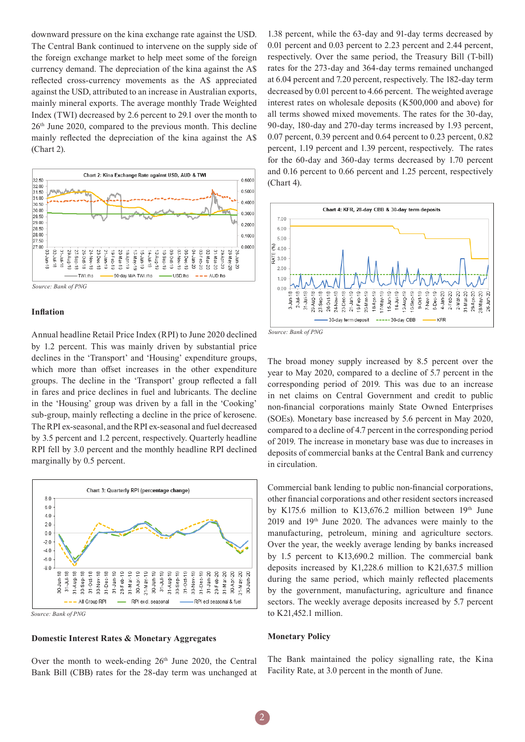downward pressure on the kina exchange rate against the USD. The Central Bank continued to intervene on the supply side of the foreign exchange market to help meet some of the foreign currency demand. The depreciation of the kina against the A\$ reflected cross-currency movements as the A\$ appreciated against the USD, attributed to an increase in Australian exports, mainly mineral exports. The average monthly Trade Weighted Index (TWI) decreased by 2.6 percent to 29.1 over the month to 26th June 2020, compared to the previous month. This decline mainly reflected the depreciation of the kina against the A\$ (Chart 2).



#### **Inflation**

Annual headline Retail Price Index (RPI) to June 2020 declined by 1.2 percent. This was mainly driven by substantial price declines in the 'Transport' and 'Housing' expenditure groups, which more than offset increases in the other expenditure groups. The decline in the 'Transport' group reflected a fall in fares and price declines in fuel and lubricants. The decline in the 'Housing' group was driven by a fall in the 'Cooking' sub-group, mainly reflecting a decline in the price of kerosene. The RPI ex-seasonal, and the RPI ex-seasonal and fuel decreased by 3.5 percent and 1.2 percent, respectively. Quarterly headline RPI fell by 3.0 percent and the monthly headline RPI declined marginally by 0.5 percent.



*Source: Bank of PNG*

## **Domestic Interest Rates & Monetary Aggregates**

Over the month to week-ending  $26<sup>th</sup>$  June 2020, the Central Bank Bill (CBB) rates for the 28-day term was unchanged at

1.38 percent, while the 63-day and 91-day terms decreased by 0.01 percent and 0.03 percent to 2.23 percent and 2.44 percent, respectively. Over the same period, the Treasury Bill (T-bill) rates for the 273-day and 364-day terms remained unchanged at 6.04 percent and 7.20 percent, respectively. The 182-day term decreased by 0.01 percent to 4.66 percent. The weighted average interest rates on wholesale deposits (K500,000 and above) for all terms showed mixed movements. The rates for the 30-day, 90-day, 180-day and 270-day terms increased by 1.93 percent, 0.07 percent, 0.39 percent and 0.64 percent to 0.23 percent, 0.82 percent, 1.19 percent and 1.39 percent, respectively. The rates for the 60-day and 360-day terms decreased by 1.70 percent and 0.16 percent to 0.66 percent and 1.25 percent, respectively (Chart 4).





The broad money supply increased by 8.5 percent over the year to May 2020, compared to a decline of 5.7 percent in the corresponding period of 2019. This was due to an increase in net claims on Central Government and credit to public non-financial corporations mainly State Owned Enterprises (SOEs). Monetary base increased by 5.6 percent in May 2020, compared to a decline of 4.7 percent in the corresponding period of 2019. The increase in monetary base was due to increases in deposits of commercial banks at the Central Bank and currency in circulation.

Commercial bank lending to public non-financial corporations, other financial corporations and other resident sectors increased by K175.6 million to K13,676.2 million between  $19<sup>th</sup>$  June 2019 and 19th June 2020. The advances were mainly to the manufacturing, petroleum, mining and agriculture sectors. Over the year, the weekly average lending by banks increased by 1.5 percent to K13,690.2 million. The commercial bank deposits increased by K1,228.6 million to K21,637.5 million during the same period, which mainly reflected placements by the government, manufacturing, agriculture and finance sectors. The weekly average deposits increased by 5.7 percent to K21,452.1 million.

#### **Monetary Policy**

The Bank maintained the policy signalling rate, the Kina Facility Rate, at 3.0 percent in the month of June.